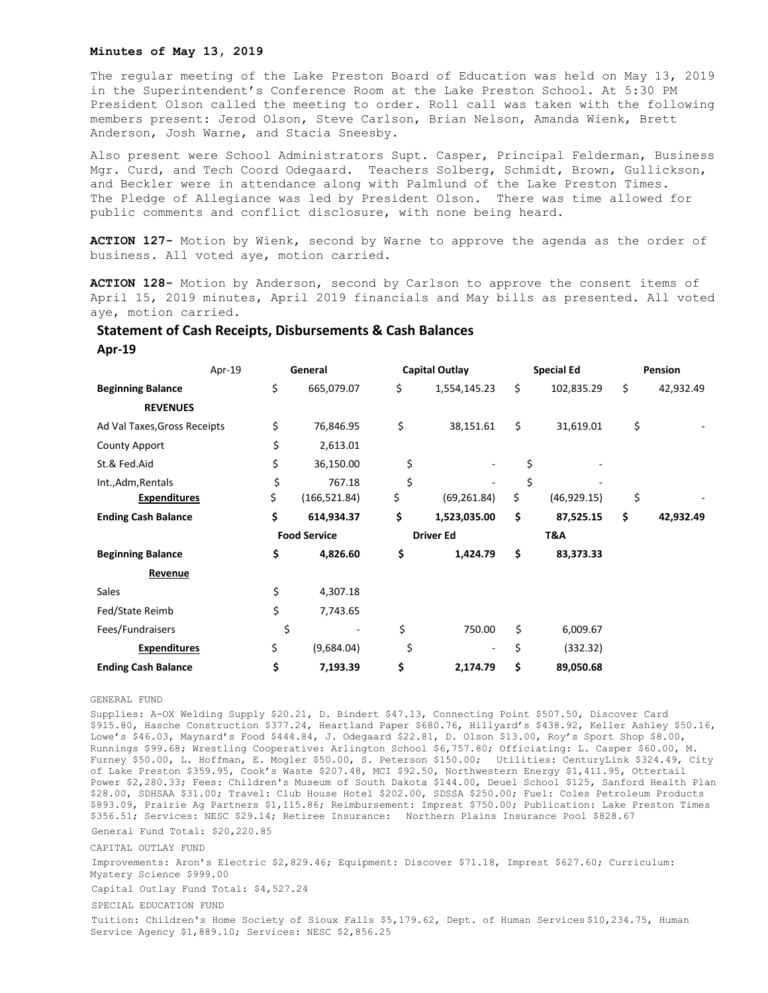## **Minutes of May 13, 2019**

The regular meeting of the Lake Preston Board of Education was held on May 13, 2019 in the Superintendent's Conference Room at the Lake Preston School. At 5:30 PM President Olson called the meeting to order. Roll call was taken with the following members present: Jerod Olson, Steve Carlson, Brian Nelson, Amanda Wienk, Brett Anderson, Josh Warne, and Stacia Sneesby.

Also present were School Administrators Supt. Casper, Principal Felderman, Business Mgr. Curd, and Tech Coord Odegaard. Teachers Solberg, Schmidt, Brown, Gullickson, and Beckler were in attendance along with Palmlund of the Lake Preston Times. The Pledge of Allegiance was led by President Olson. There was time allowed for public comments and conflict disclosure, with none being heard.

**ACTION 127-** Motion by Wienk, second by Warne to approve the agenda as the order of business. All voted aye, motion carried.

**ACTION 128-** Motion by Anderson, second by Carlson to approve the consent items of April 15, 2019 minutes, April 2019 financials and May bills as presented. All voted aye, motion carried.

## **Statement of Cash Receipts, Disbursements & Cash Balances**

**Apr-19**

|                              | Apr-19 | General             |               | Capital Outlay   |                          | <b>Special Ed</b> |              | Pension |           |
|------------------------------|--------|---------------------|---------------|------------------|--------------------------|-------------------|--------------|---------|-----------|
| <b>Beginning Balance</b>     |        | \$                  | 665,079.07    | \$               | 1,554,145.23             | \$                | 102,835.29   | \$      | 42,932.49 |
| <b>REVENUES</b>              |        |                     |               |                  |                          |                   |              |         |           |
| Ad Val Taxes, Gross Receipts |        | \$                  | 76,846.95     | \$               | 38,151.61                | \$                | 31,619.01    | \$      |           |
| <b>County Apport</b>         |        | \$                  | 2,613.01      |                  |                          |                   |              |         |           |
| St.& Fed.Aid                 |        | \$                  | 36,150.00     | \$               |                          | \$                |              |         |           |
| Int., Adm, Rentals           |        | \$                  | 767.18        | \$               |                          | \$                |              |         |           |
| <b>Expenditures</b>          |        | \$                  | (166, 521.84) | \$               | (69, 261.84)             | \$                | (46, 929.15) | \$      |           |
| <b>Ending Cash Balance</b>   |        | \$                  | 614,934.37    | \$               | 1,523,035.00             | \$                | 87,525.15    | \$      | 42,932.49 |
|                              |        | <b>Food Service</b> |               | <b>Driver Ed</b> |                          | T&A               |              |         |           |
| <b>Beginning Balance</b>     |        | \$                  | 4,826.60      | \$               | 1,424.79                 | \$                | 83,373.33    |         |           |
| Revenue                      |        |                     |               |                  |                          |                   |              |         |           |
| Sales                        |        | \$                  | 4,307.18      |                  |                          |                   |              |         |           |
| Fed/State Reimb              |        | \$                  | 7,743.65      |                  |                          |                   |              |         |           |
| Fees/Fundraisers             |        | \$                  |               | \$               | 750.00                   | \$                | 6,009.67     |         |           |
| <b>Expenditures</b>          |        | \$                  | (9,684.04)    | \$               | $\overline{\phantom{a}}$ | \$                | (332.32)     |         |           |
| <b>Ending Cash Balance</b>   |        | \$                  | 7,193.39      | \$               | 2,174.79                 | \$                | 89,050.68    |         |           |

## GENERAL FUND

Supplies: A-OX Welding Supply \$20.21, D. Bindert \$47.13, Connecting Point \$507.50, Discover Card \$915.80, Hasche Construction \$377.24, Heartland Paper \$680.76, Hillyard's \$438.92, Keller Ashley \$50.16, Lowe's \$46.03, Maynard's Food \$444.84, J. Odegaard \$22.81, D. Olson \$13.00, Roy's Sport Shop \$8.00, Runnings \$99.68; Wrestling Cooperative: Arlington School \$6,757.80; Officiating: L. Casper \$60.00, M. Furney \$50.00, L. Hoffman, E. Mogler \$50.00, S. Peterson \$150.00; Utilities: CenturyLink \$324.49, City of Lake Preston \$359.95, Cook's Waste \$207.48, MCI \$92.50, Northwestern Energy \$1,411.95, Ottertail Power \$2,280.33; Fees: Children's Museum of South Dakota \$144.00, Deuel School \$125, Sanford Health Plan \$28.00, SDHSAA \$31.00; Travel: Club House Hotel \$202.00, SDSSA \$250.00; Fuel: Coles Petroleum Products \$893.09, Prairie Ag Partners \$1,115.86; Reimbursement: Imprest \$750.00; Publication: Lake Preston Times \$356.51; Services: NESC \$29.14; Retiree Insurance: Northern Plains Insurance Pool \$828.67

General Fund Total: \$20,220.85

CAPITAL OUTLAY FUND

Improvements: Aron's Electric \$2,829.46; Equipment: Discover \$71.18, Imprest \$627.60; Curriculum: Mystery Science \$999.00

Capital Outlay Fund Total: \$4,527.24

SPECIAL EDUCATION FUND

Tuition: Children's Home Society of Sioux Falls \$5,179.62, Dept. of Human Services \$10,234.75, Human Service Agency \$1,889.10; Services: NESC \$2,856.25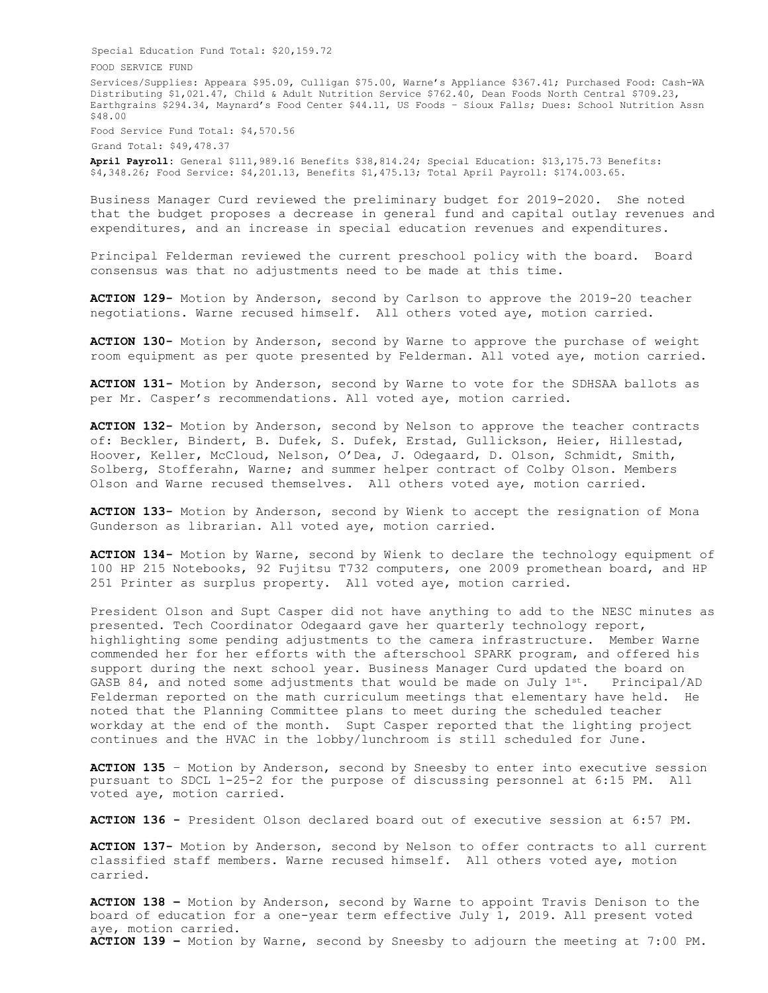Special Education Fund Total: \$20,159.72 FOOD SERVICE FUND Services/Supplies: Appeara \$95.09, Culligan \$75.00, Warne's Appliance \$367.41; Purchased Food: Cash-WA Distributing \$1,021.47, Child & Adult Nutrition Service \$762.40, Dean Foods North Central \$709.23, Earthgrains \$294.34, Maynard's Food Center \$44.11, US Foods – Sioux Falls; Dues: School Nutrition Assn \$48.00 Food Service Fund Total: \$4,570.56

Grand Total: \$49,478.37

**April Payroll:** General \$111,989.16 Benefits \$38,814.24; Special Education: \$13,175.73 Benefits: \$4,348.26; Food Service: \$4,201.13, Benefits \$1,475.13; Total April Payroll: \$174.003.65.

Business Manager Curd reviewed the preliminary budget for 2019-2020. She noted that the budget proposes a decrease in general fund and capital outlay revenues and expenditures, and an increase in special education revenues and expenditures.

Principal Felderman reviewed the current preschool policy with the board. Board consensus was that no adjustments need to be made at this time.

**ACTION 129-** Motion by Anderson, second by Carlson to approve the 2019-20 teacher negotiations. Warne recused himself. All others voted aye, motion carried.

**ACTION 130-** Motion by Anderson, second by Warne to approve the purchase of weight room equipment as per quote presented by Felderman. All voted aye, motion carried.

**ACTION 131-** Motion by Anderson, second by Warne to vote for the SDHSAA ballots as per Mr. Casper's recommendations. All voted aye, motion carried.

**ACTION 132-** Motion by Anderson, second by Nelson to approve the teacher contracts of: Beckler, Bindert, B. Dufek, S. Dufek, Erstad, Gullickson, Heier, Hillestad, Hoover, Keller, McCloud, Nelson, O'Dea, J. Odegaard, D. Olson, Schmidt, Smith, Solberg, Stofferahn, Warne; and summer helper contract of Colby Olson. Members Olson and Warne recused themselves. All others voted aye, motion carried.

**ACTION 133-** Motion by Anderson, second by Wienk to accept the resignation of Mona Gunderson as librarian. All voted aye, motion carried.

**ACTION 134-** Motion by Warne, second by Wienk to declare the technology equipment of 100 HP 215 Notebooks, 92 Fujitsu T732 computers, one 2009 promethean board, and HP 251 Printer as surplus property. All voted aye, motion carried.

President Olson and Supt Casper did not have anything to add to the NESC minutes as presented. Tech Coordinator Odegaard gave her quarterly technology report, highlighting some pending adjustments to the camera infrastructure. Member Warne commended her for her efforts with the afterschool SPARK program, and offered his support during the next school year. Business Manager Curd updated the board on GASB 84, and noted some adjustments that would be made on July  $1^{st}$ . Principal/AD Felderman reported on the math curriculum meetings that elementary have held. He noted that the Planning Committee plans to meet during the scheduled teacher workday at the end of the month. Supt Casper reported that the lighting project continues and the HVAC in the lobby/lunchroom is still scheduled for June.

**ACTION 135** – Motion by Anderson, second by Sneesby to enter into executive session pursuant to SDCL 1-25-2 for the purpose of discussing personnel at 6:15 PM. All voted aye, motion carried.

**ACTION 136 -** President Olson declared board out of executive session at 6:57 PM.

**ACTION 137-** Motion by Anderson, second by Nelson to offer contracts to all current classified staff members. Warne recused himself. All others voted aye, motion carried.

**ACTION 138 –** Motion by Anderson, second by Warne to appoint Travis Denison to the board of education for a one-year term effective July 1, 2019. All present voted aye, motion carried. **ACTION 139 –** Motion by Warne, second by Sneesby to adjourn the meeting at 7:00 PM.